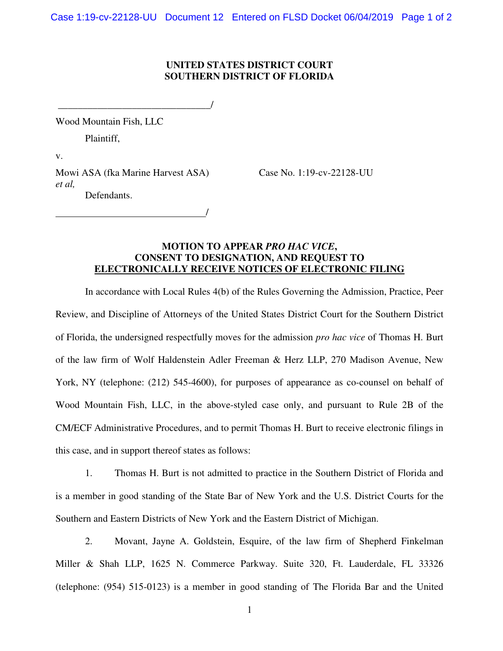## **UNITED STATES DISTRICT COURT SOUTHERN DISTRICT OF FLORIDA**

\_\_\_\_\_\_\_\_\_\_\_\_\_\_\_\_\_\_\_\_\_\_\_\_\_\_\_\_\_\_\_/

Wood Mountain Fish, LLC

Plaintiff,

v.

Mowi ASA (fka Marine Harvest ASA) Case No. 1:19-cv-22128-UU *et al,*  Defendants.

/

## **MOTION TO APPEAR** *PRO HAC VICE***, CONSENT TO DESIGNATION, AND REQUEST TO ELECTRONICALLY RECEIVE NOTICES OF ELECTRONIC FILING**

In accordance with Local Rules 4(b) of the Rules Governing the Admission, Practice, Peer Review, and Discipline of Attorneys of the United States District Court for the Southern District of Florida, the undersigned respectfully moves for the admission *pro hac vice* of Thomas H. Burt of the law firm of Wolf Haldenstein Adler Freeman & Herz LLP, 270 Madison Avenue, New York, NY (telephone: (212) 545-4600), for purposes of appearance as co-counsel on behalf of Wood Mountain Fish, LLC, in the above-styled case only, and pursuant to Rule 2B of the CM/ECF Administrative Procedures, and to permit Thomas H. Burt to receive electronic filings in this case, and in support thereof states as follows:

1. Thomas H. Burt is not admitted to practice in the Southern District of Florida and is a member in good standing of the State Bar of New York and the U.S. District Courts for the Southern and Eastern Districts of New York and the Eastern District of Michigan.

2. Movant, Jayne A. Goldstein, Esquire, of the law firm of Shepherd Finkelman Miller & Shah LLP, 1625 N. Commerce Parkway. Suite 320, Ft. Lauderdale, FL 33326 (telephone: (954) 515-0123) is a member in good standing of The Florida Bar and the United